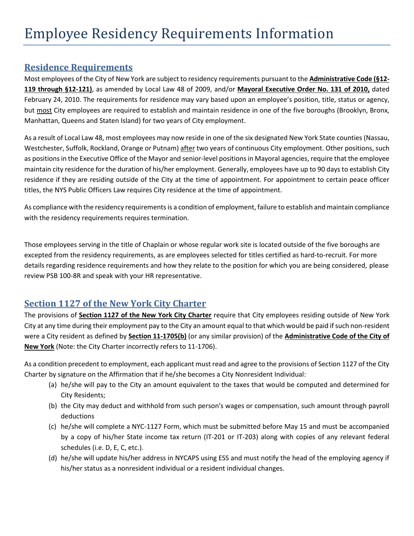## **Residence Requirements**

Most employees of the City of New York are subject to residency requirements pursuant to the **Administrative Code (§12- 119 through §12-121)**, as amended by Local Law 48 of 2009, and/or **Mayoral Executive Order No. 131 of 2010,** dated February 24, 2010. The requirements for residence may vary based upon an employee's position, title, status or agency, but most City employees are required to establish and maintain residence in one of the five boroughs (Brooklyn, Bronx, Manhattan, Queens and Staten Island) for two years of City employment.

As a result of Local Law 48, most employees may now reside in one of the six designated New York State counties (Nassau, Westchester, Suffolk, Rockland, Orange or Putnam) after two years of continuous City employment. Other positions, such as positions in the Executive Office of the Mayor and senior-level positions in Mayoral agencies, require that the employee maintain city residence for the duration of his/her employment. Generally, employees have up to 90 days to establish City residence if they are residing outside of the City at the time of appointment. For appointment to certain peace officer titles, the NYS Public Officers Law requires City residence at the time of appointment.

As compliance with the residency requirements is a condition of employment, failure to establish and maintain compliance with the residency requirements requires termination.

Those employees serving in the title of Chaplain or whose regular work site is located outside of the five boroughs are excepted from the residency requirements, as are employees selected for titles certified as hard-to-recruit. For more details regarding residence requirements and how they relate to the position for which you are being considered, please review PSB 100-8R and speak with your HR representative.

## **Section 1127 of the New York City Charter**

The provisions of **Section 1127 of the New York City Charter** require that City employees residing outside of New York City at any time during their employment pay to the City an amount equal to that which would be paid if such non-resident were a City resident as defined by **Section 11-1705(b)** (or any similar provision) of the **Administrative Code of the City of New York** (Note: the City Charter incorrectly refers to 11-1706).

As a condition precedent to employment, each applicant must read and agree to the provisions of Section 1127 of the City Charter by signature on the Affirmation that if he/she becomes a City Nonresident Individual:

- (a) he/she will pay to the City an amount equivalent to the taxes that would be computed and determined for City Residents;
- (b) the City may deduct and withhold from such person's wages or compensation, such amount through payroll deductions
- (c) he/she will complete a NYC-1127 Form, which must be submitted before May 15 and must be accompanied by a copy of his/her State income tax return (IT-201 or IT-203) along with copies of any relevant federal schedules (i.e. D, E, C, etc.).
- (d) he/she will update his/her address in NYCAPS using ESS and must notify the head of the employing agency if his/her status as a nonresident individual or a resident individual changes.